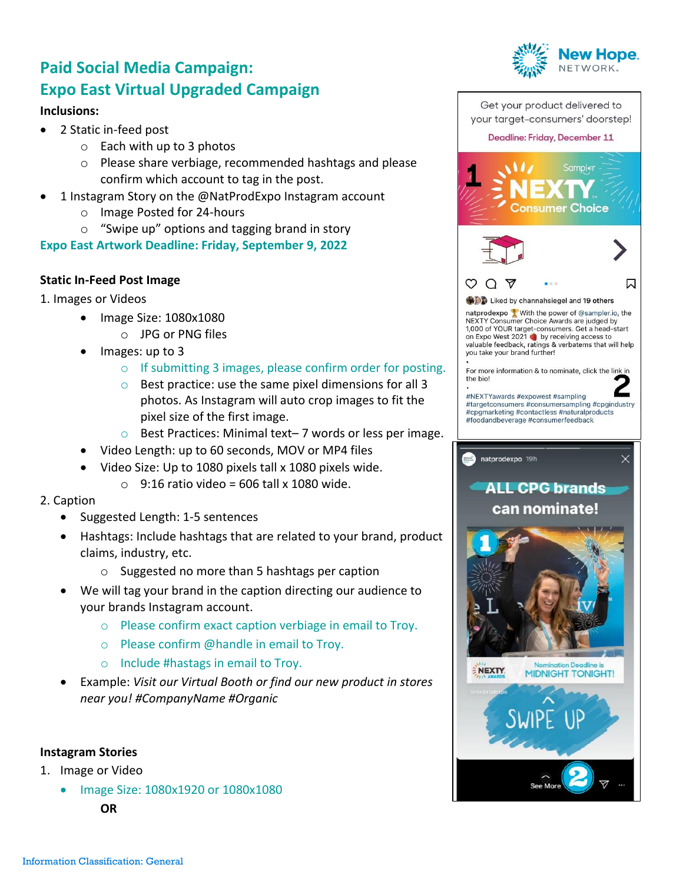# **Paid Social Media Campaign: Expo East Virtual Upgraded Campaign**

### **Inclusions:**

- 2 Static in-feed post
	- o Each with up to 3 photos
	- o Please share verbiage, recommended hashtags and please confirm which account to tag in the post.
- 1 Instagram Story on the @NatProdExpo Instagram account
	- o Image Posted for 24-hours
	- o "Swipe up" options and tagging brand in story

**Expo East Artwork Deadline: Friday, September 9, 2022**

## **Static In-Feed Post Image**

- 1. Images or Videos
	- Image Size: 1080x1080
		- o JPG or PNG files
	- Images: up to 3
		- o If submitting 3 images, please confirm order for posting.
		- o Best practice: use the same pixel dimensions for all 3 photos. As Instagram will auto crop images to fit the pixel size of the first image.
		- o Best Practices: Minimal text– 7 words or less per image.
	- Video Length: up to 60 seconds, MOV or MP4 files
	- Video Size: Up to 1080 pixels tall x 1080 pixels wide.
		- $\circ$  9:16 ratio video = 606 tall x 1080 wide.

#### 2. Caption

- Suggested Length: 1-5 sentences
- Hashtags: Include hashtags that are related to your brand, product claims, industry, etc.
	- o Suggested no more than 5 hashtags per caption
- We will tag your brand in the caption directing our audience to your brands Instagram account.
	- o Please confirm exact caption verbiage in email to Troy.
	- o Please confirm @handle in email to Troy.
	- o Include #hastags in email to Troy.
- Example: *Visit our Virtual Booth or find our new product in stores near you! #CompanyName #Organic*

#### **Instagram Stories**

- 1. Image or Video
	- Image Size: 1080x1920 or 1080x1080 **OR**



**MIDNIGHT TONIGHT!** 

NEXTY.

Get your product delivered to